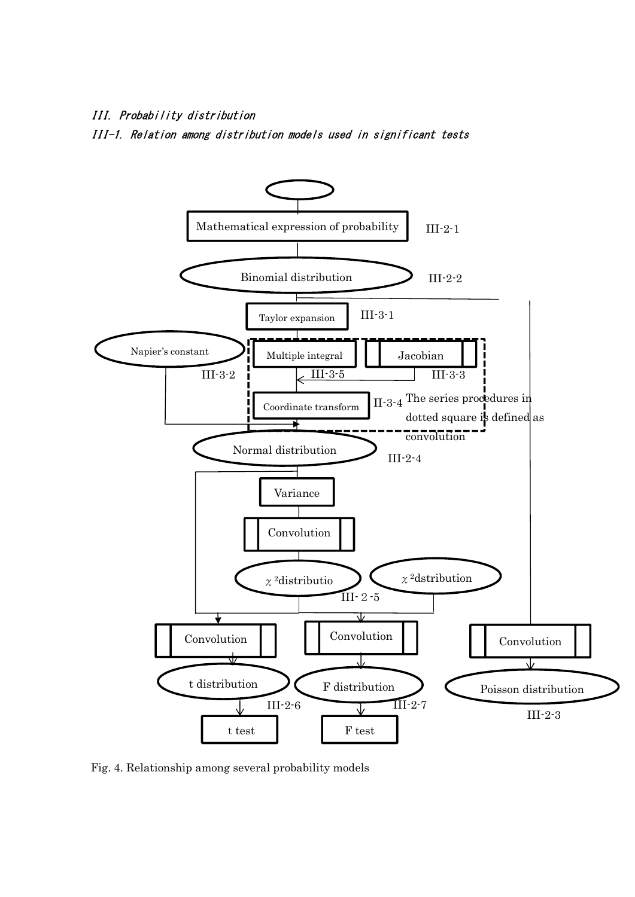## III. Probability distribution

III-1. Relation among distribution models used in significant tests



Fig. 4. Relationship among several probability models